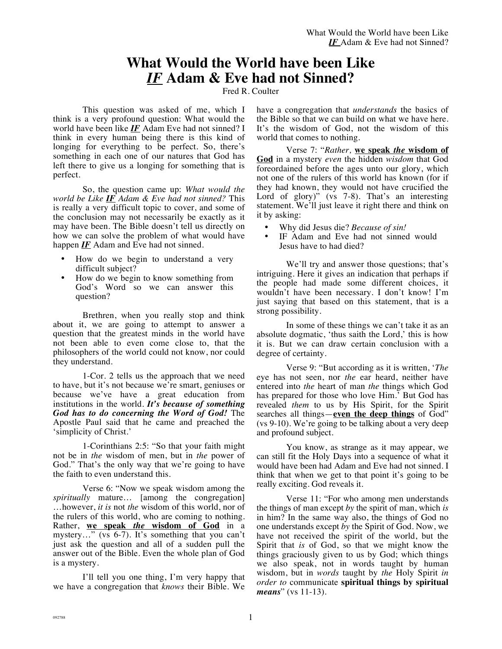# **What Would the World have been Like**  *IF* **Adam & Eve had not Sinned?**

Fred R. Coulter

This question was asked of me, which I think is a very profound question: What would the world have been like *IF* Adam Eve had not sinned? I think in every human being there is this kind of longing for everything to be perfect. So, there's something in each one of our natures that God has left there to give us a longing for something that is perfect.

So, the question came up: *What would the world be Like IF Adam & Eve had not sinned?* This is really a very difficult topic to cover, and some of the conclusion may not necessarily be exactly as it may have been. The Bible doesn't tell us directly on how we can solve the problem of what would have happen *IF* Adam and Eve had not sinned.

- How do we begin to understand a very difficult subject?
- How do we begin to know something from God's Word so we can answer this question?

Brethren, when you really stop and think about it, we are going to attempt to answer a question that the greatest minds in the world have not been able to even come close to, that the philosophers of the world could not know, nor could they understand.

1-Cor. 2 tells us the approach that we need to have, but it's not because we're smart, geniuses or because we've have a great education from institutions in the world. *It's because of something God has to do concerning the Word of God!* The Apostle Paul said that he came and preached the 'simplicity of Christ.'

1-Corinthians 2:5: "So that your faith might not be in *the* wisdom of men, but in *the* power of God." That's the only way that we're going to have the faith to even understand this.

Verse 6: "Now we speak wisdom among the *spiritually* mature… [among the congregation] …however, *it is* not *the* wisdom of this world, nor of the rulers of this world, who are coming to nothing. Rather, **we speak** *the* **wisdom of God** in a mystery…" (vs 6-7). It's something that you can't just ask the question and all of a sudden pull the answer out of the Bible. Even the whole plan of God is a mystery.

I'll tell you one thing, I'm very happy that we have a congregation that *knows* their Bible. We have a congregation that *understands* the basics of the Bible so that we can build on what we have here. It's the wisdom of God, not the wisdom of this world that comes to nothing.

Verse 7: "*Rather,* **we speak** *the* **wisdom of God** in a mystery *even* the hidden *wisdom* that God foreordained before the ages unto our glory, which not one of the rulers of this world has known (for if they had known, they would not have crucified the Lord of glory)" (vs 7-8). That's an interesting statement. We'll just leave it right there and think on it by asking:

- Why did Jesus die? *Because of sin!*
- IF Adam and Eve had not sinned would Jesus have to had died?

We'll try and answer those questions; that's intriguing. Here it gives an indication that perhaps if the people had made some different choices, it wouldn't have been necessary. I don't know! I'm just saying that based on this statement, that is a strong possibility.

In some of these things we can't take it as an absolute dogmatic, 'thus saith the Lord,' this is how it is. But we can draw certain conclusion with a degree of certainty.

Verse 9: "But according as it is written, '*The*  eye has not seen, nor *the* ear heard, neither have entered into *the* heart of man *the* things which God has prepared for those who love Him.' But God has revealed *them* to us by His Spirit, for the Spirit searches all things—**even the deep things** of God" (vs 9-10). We're going to be talking about a very deep and profound subject.

You know, as strange as it may appear, we can still fit the Holy Days into a sequence of what it would have been had Adam and Eve had not sinned. I think that when we get to that point it's going to be really exciting. God reveals it.

Verse 11: "For who among men understands the things of man except *by* the spirit of man, which *is* in him? In the same way also, the things of God no one understands except *by* the Spirit of God. Now, we have not received the spirit of the world, but the Spirit that *is* of God, so that we might know the things graciously given to us by God; which things we also speak, not in words taught by human wisdom, but in *words* taught by *the* Holy Spirit *in order to* communicate **spiritual things by spiritual**  *means*" (vs 11-13).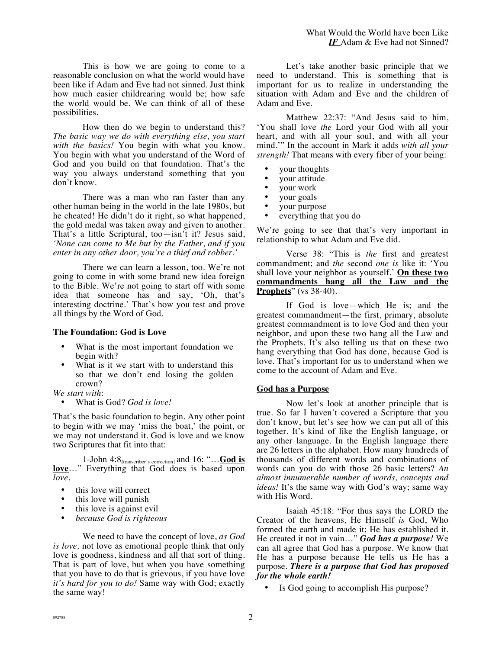This is how we are going to come to a reasonable conclusion on what the world would have been like if Adam and Eve had not sinned. Just think how much easier childrearing would be; how safe the world would be. We can think of all of these possibilities.

How then do we begin to understand this? *The basic way we do with everything else, you start with the basics!* You begin with what you know. You begin with what you understand of the Word of God and you build on that foundation. That's the way you always understand something that you don't know.

There was a man who ran faster than any other human being in the world in the late 1980s, but he cheated! He didn't do it right, so what happened, the gold medal was taken away and given to another. That's a little Scriptural, too—isn't it? Jesus said, *'None can come to Me but by the Father, and if you enter in any other door, you're a thief and robber.'*

There we can learn a lesson, too. We're not going to come in with some brand new idea foreign to the Bible. We're not going to start off with some idea that someone has and say, 'Oh, that's interesting doctrine.' That's how you test and prove all things by the Word of God.

#### **The Foundation: God is Love**

- What is the most important foundation we begin with?
- What is it we start with to understand this so that we don't end losing the golden crown?

*We start with*:

• What is God? *God is love!*

That's the basic foundation to begin. Any other point to begin with we may 'miss the boat,' the point, or we may not understand it. God is love and we know two Scriptures that fit into that:

1-John 4:8[transcriber's correction] and 16: "…**God is love**…" Everything that God does is based upon *love.*

- this love will correct
- this love will punish
- this love is against evil
- *because God is righteous*

We need to have the concept of love, *as God is love,* not love as emotional people think that only love is goodness, kindness and all that sort of thing. That is part of love, but when you have something that you have to do that is grievous, if you have love *it's hard for you to do!* Same way with God; exactly the same way!

Let's take another basic principle that we need to understand. This is something that is important for us to realize in understanding the situation with Adam and Eve and the children of Adam and Eve.

Matthew 22:37: "And Jesus said to him, 'You shall love *the* Lord your God with all your heart, and with all your soul, and with all your mind.'" In the account in Mark it adds *with all your strength!* That means with every fiber of your being:

- your thoughts
- your attitude
- your work
- your goals
- your purpose
- everything that you do

We're going to see that that's very important in relationship to what Adam and Eve did.

Verse 38: "This is *the* first and greatest commandment; and *the* second *one is* like it: 'You shall love your neighbor as yourself.' **On these two commandments hang all the Law and the Prophets**" (vs 38-40).

If God is love—which He is; and the greatest commandment—the first, primary, absolute greatest commandment is to love God and then your neighbor, and upon these two hang all the Law and the Prophets. It's also telling us that on these two hang everything that God has done, because God is love. That's important for us to understand when we come to the account of Adam and Eve.

#### **God has a Purpose**

Now let's look at another principle that is true. So far I haven't covered a Scripture that you don't know, but let's see how we can put all of this together. It's kind of like the English language, or any other language. In the English language there are 26 letters in the alphabet. How many hundreds of thousands of different words and combinations of words can you do with those 26 basic letters? *An almost innumerable number of words, concepts and ideas!* It's the same way with God's way; same way with His Word.

Isaiah 45:18: "For thus says the LORD the Creator of the heavens, He Himself *is* God, Who formed the earth and made it; He has established it. He created it not in vain…" *God has a purpose!* We can all agree that God has a purpose. We know that He has a purpose because He tells us He has a purpose. *There is a purpose that God has proposed for the whole earth!*

• Is God going to accomplish His purpose?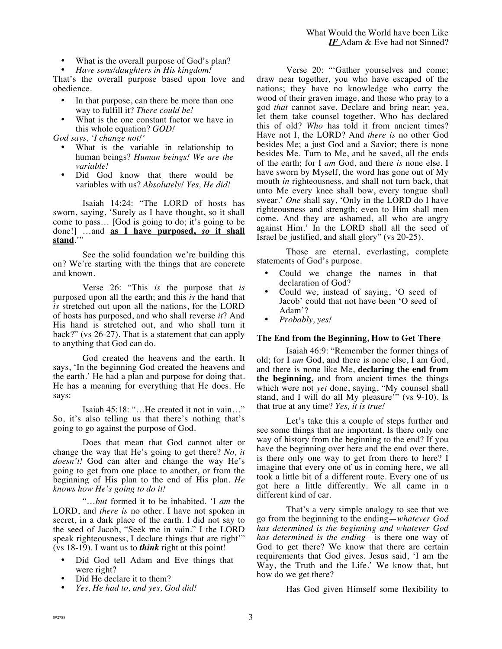- What is the overall purpose of God's plan?
- *Have sons/daughters in His kingdom!*

That's the overall purpose based upon love and obedience.

- In that purpose, can there be more than one way to fulfill it? *There could be!*
- What is the one constant factor we have in this whole equation? *GOD!*

*God says, 'I change not!'*

- What is the variable in relationship to human beings? *Human beings! We are the variable!*
- Did God know that there would be variables with us? *Absolutely! Yes, He did!*

Isaiah 14:24: "The LORD of hosts has sworn, saying, 'Surely as I have thought, so it shall come to pass… [God is going to do; it's going to be done!] …and **as I have purposed,** *so* **it shall stand**.'"

See the solid foundation we're building this on? We're starting with the things that are concrete and known.

Verse 26: "This *is* the purpose that *is* purposed upon all the earth; and this *is* the hand that *is* stretched out upon all the nations, for the LORD of hosts has purposed, and who shall reverse *it*? And His hand is stretched out, and who shall turn it back?" (vs 26-27). That is a statement that can apply to anything that God can do.

God created the heavens and the earth. It says, 'In the beginning God created the heavens and the earth.' He had a plan and purpose for doing that. He has a meaning for everything that He does. He says:

Isaiah 45:18: "…He created it not in vain…" So, it's also telling us that there's nothing that's going to go against the purpose of God.

Does that mean that God cannot alter or change the way that He's going to get there? *No, it doesn't!* God can alter and change the way He's going to get from one place to another, or from the beginning of His plan to the end of His plan. *He knows how He's going to do it!*

"…*but* formed it to be inhabited. 'I *am* the LORD, and *there is* no other. I have not spoken in secret, in a dark place of the earth. I did not say to the seed of Jacob, "Seek me in vain." I the LORD speak righteousness, I declare things that are right" (vs 18-19). I want us to *think* right at this point!

- Did God tell Adam and Eve things that were right?
- Did He declare it to them?
- *Yes, He had to, and yes, God did!*

Verse 20: "'Gather yourselves and come; draw near together, you who have escaped of the nations; they have no knowledge who carry the wood of their graven image, and those who pray to a god *that* cannot save. Declare and bring near; yea, let them take counsel together. Who has declared this of old? *Who* has told it from ancient times? Have not I, the LORD? And *there is* no other God besides Me; a just God and a Savior; there is none besides Me. Turn to Me, and be saved, all the ends of the earth; for I *am* God, and there *is* none else. I have sworn by Myself, the word has gone out of My mouth *in* righteousness, and shall not turn back, that unto Me every knee shall bow, every tongue shall swear.' *One* shall say, 'Only in the LORD do I have righteousness and strength; even to Him shall men come. And they are ashamed, all who are angry against Him.' In the LORD shall all the seed of Israel be justified, and shall glory" (vs 20-25).

Those are eternal, everlasting, complete statements of God's purpose.

- Could we change the names in that declaration of God?
- Could we, instead of saying, 'O seed of Jacob' could that not have been 'O seed of Adam'?
- *Probably, yes!*

## **The End from the Beginning, How to Get There**

Isaiah 46:9: "Remember the former things of old; for I *am* God, and there is none else, I am God, and there is none like Me, **declaring the end from the beginning,** and from ancient times the things which were not *yet* done, saying, "My counsel shall stand, and I will do all My pleasure" (vs 9-10). Is that true at any time? *Yes, it is true!*

Let's take this a couple of steps further and see some things that are important. Is there only one way of history from the beginning to the end? If you have the beginning over here and the end over there, is there only one way to get from there to here? I imagine that every one of us in coming here, we all took a little bit of a different route. Every one of us got here a little differently. We all came in a different kind of car.

That's a very simple analogy to see that we go from the beginning to the ending—*whatever God has determined is the beginning and whatever God has determined is the ending*—is there one way of God to get there? We know that there are certain requirements that God gives. Jesus said, 'I am the Way, the Truth and the Life.' We know that, but how do we get there?

Has God given Himself some flexibility to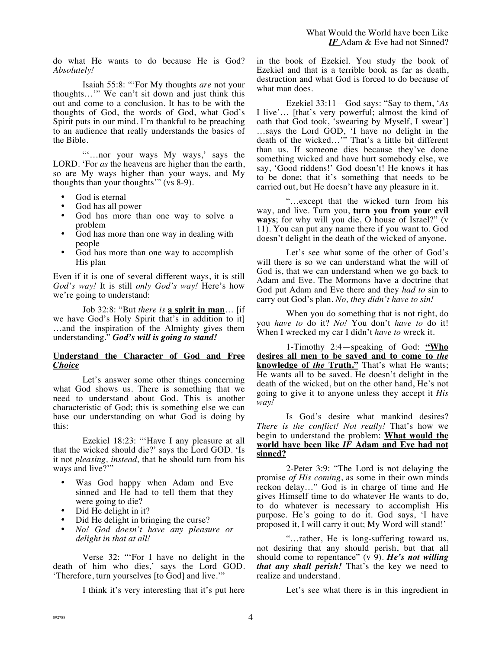do what He wants to do because He is God? *Absolutely!*

Isaiah 55:8: "'For My thoughts *are* not your thoughts…'" We can't sit down and just think this out and come to a conclusion. It has to be with the thoughts of God, the words of God, what God's Spirit puts in our mind. I'm thankful to be preaching to an audience that really understands the basics of the Bible.

"'…nor your ways My ways,' says the LORD. 'For *as* the heavens are higher than the earth, so are My ways higher than your ways, and My thoughts than your thoughts'" (vs 8-9).

- God is eternal
- God has all power
- God has more than one way to solve a problem
- God has more than one way in dealing with people
- God has more than one way to accomplish His plan

Even if it is one of several different ways, it is still *God's way!* It is still *only God's way!* Here's how we're going to understand:

Job 32:8: "But *there is* **a spirit in man**… [if we have God's Holy Spirit that's in addition to it] …and the inspiration of the Almighty gives them understanding." *God's will is going to stand!*

## **Understand the Character of God and Free**  *Choice*

Let's answer some other things concerning what God shows us. There is something that we need to understand about God. This is another characteristic of God; this is something else we can base our understanding on what God is doing by this:

Ezekiel 18:23: "'Have I any pleasure at all that the wicked should die?' says the Lord GOD. 'Is it not *pleasing, instead,* that he should turn from his ways and live?"

- Was God happy when Adam and Eve sinned and He had to tell them that they were going to die?
- Did He delight in it?
- Did He delight in bringing the curse?
- *No! God doesn't have any pleasure or delight in that at all!*

Verse 32: "'For I have no delight in the death of him who dies,' says the Lord GOD. 'Therefore, turn yourselves [to God] and live.'"

I think it's very interesting that it's put here

in the book of Ezekiel. You study the book of Ezekiel and that is a terrible book as far as death, destruction and what God is forced to do because of what man does.

Ezekiel 33:11—God says: "Say to them, '*As* I live'… [that's very powerful; almost the kind of oath that God took, 'swearing by Myself, I swear'] …says the Lord GOD, 'I have no delight in the death of the wicked…'" That's a little bit different than us. If someone dies because they've done something wicked and have hurt somebody else, we say, 'Good riddens!' God doesn't! He knows it has to be done; that it's something that needs to be carried out, but He doesn't have any pleasure in it.

"…except that the wicked turn from his way, and live. Turn you, **turn you from your evil ways**; for why will you die, O house of Israel?" (v 11). You can put any name there if you want to. God doesn't delight in the death of the wicked of anyone.

Let's see what some of the other of God's will there is so we can understand what the will of God is, that we can understand when we go back to Adam and Eve. The Mormons have a doctrine that God put Adam and Eve there and they *had to* sin to carry out God's plan. *No, they didn't have to sin!*

When you do something that is not right, do you *have to* do it? *No!* You don't *have to* do it! When I wrecked my car I didn't *have to* wreck it.

1-Timothy 2:4—speaking of God: **"Who desires all men to be saved and to come to** *the* **knowledge of the Truth."** That's what He wants; He wants all to be saved. He doesn't delight in the death of the wicked, but on the other hand, He's not going to give it to anyone unless they accept it *His way!*

Is God's desire what mankind desires? *There is the conflict! Not really!* That's how we begin to understand the problem: **What would the world have been like** *IF* **Adam and Eve had not sinned?** 

2-Peter 3:9: "The Lord is not delaying the promise *of His coming*, as some in their own minds reckon delay…" God is in charge of time and He gives Himself time to do whatever He wants to do, to do whatever is necessary to accomplish His purpose. He's going to do it. God says, 'I have proposed it, I will carry it out; My Word will stand!'

"…rather, He is long-suffering toward us, not desiring that any should perish, but that all should come to repentance"  $(v \hat{9})$ . *He's not willing that any shall perish!* That's the key we need to realize and understand.

Let's see what there is in this ingredient in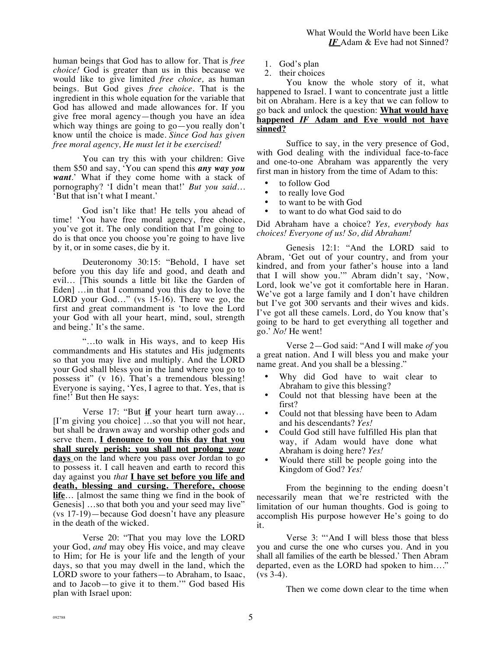human beings that God has to allow for. That is *free choice!* God is greater than us in this because we would like to give limited *free choice,* as human beings. But God gives *free choice.* That is the ingredient in this whole equation for the variable that God has allowed and made allowances for. If you give free moral agency—though you have an idea which way things are going to go—you really don't know until the choice is made. *Since God has given free moral agency, He must let it be exercised!*

You can try this with your children: Give them \$50 and say, 'You can spend this *any way you want*.' What if they come home with a stack of pornography? 'I didn't mean that!' *But you said…* 'But that isn't what I meant.'

God isn't like that! He tells you ahead of time! 'You have free moral agency, free choice, you've got it. The only condition that I'm going to do is that once you choose you're going to have live by it, or in some cases, die by it.

Deuteronomy 30:15: "Behold, I have set before you this day life and good, and death and evil… [This sounds a little bit like the Garden of Eden] ... in that I command you this day to love the LORD your God..." (vs 15-16). There we go, the first and great commandment is 'to love the Lord your God with all your heart, mind, soul, strength and being.' It's the same.

"…to walk in His ways, and to keep His commandments and His statutes and His judgments so that you may live and multiply. And the LORD your God shall bless you in the land where you go to possess it" (v 16). That's a tremendous blessing! Everyone is saying, 'Yes, I agree to that. Yes, that is fine!' But then He says:

Verse 17: "But **if** your heart turn away… [I'm giving you choice] …so that you will not hear, but shall be drawn away and worship other gods and serve them, **I denounce to you this day that you shall surely perish; you shall not prolong** *your* **days** on the land where you pass over Jordan to go to possess it. I call heaven and earth to record this day against you *that* **I have set before you life and death, blessing and cursing. Therefore, choose life**… [almost the same thing we find in the book of Genesis] ...so that both you and your seed may live" (vs 17-19)—because God doesn't have any pleasure in the death of the wicked.

Verse 20: "That you may love the LORD your God, *and* may obey His voice, and may cleave to Him; for He is your life and the length of your days, so that you may dwell in the land, which the LORD swore to your fathers—to Abraham, to Isaac, and to Jacob—to give it to them.'" God based His plan with Israel upon:

- 1. God's plan
- 2. their choices

You know the whole story of it, what happened to Israel. I want to concentrate just a little bit on Abraham. Here is a key that we can follow to go back and unlock the question: **What would have happened** *IF* **Adam and Eve would not have sinned?**

Suffice to say, in the very presence of God, with God dealing with the individual face-to-face and one-to-one Abraham was apparently the very first man in history from the time of Adam to this:

- to follow God
- to really love God
- to want to be with God
- to want to do what God said to do

Did Abraham have a choice? *Yes, everybody has choices! Everyone of us! So, did Abraham!*

Genesis 12:1: "And the LORD said to Abram, 'Get out of your country, and from your kindred, and from your father's house into a land that I will show you.'" Abram didn't say, 'Now, Lord, look we've got it comfortable here in Haran. We've got a large family and I don't have children but I've got 300 servants and their wives and kids. I've got all these camels. Lord, do You know that's going to be hard to get everything all together and go.' *No!* He went!

Verse 2—God said: "And I will make *of* you a great nation. And I will bless you and make your name great. And you shall be a blessing."

- Why did God have to wait clear to Abraham to give this blessing?
- Could not that blessing have been at the first?
- Could not that blessing have been to Adam and his descendants? *Yes!*
- Could God still have fulfilled His plan that way, if Adam would have done what Abraham is doing here? *Yes!*
- Would there still be people going into the Kingdom of God? *Yes!*

From the beginning to the ending doesn't necessarily mean that we're restricted with the limitation of our human thoughts. God is going to accomplish His purpose however He's going to do it.

Verse 3: "'And I will bless those that bless you and curse the one who curses you. And in you shall all families of the earth be blessed.' Then Abram departed, even as the LORD had spoken to him…."  $(vs 3-4)$ .

Then we come down clear to the time when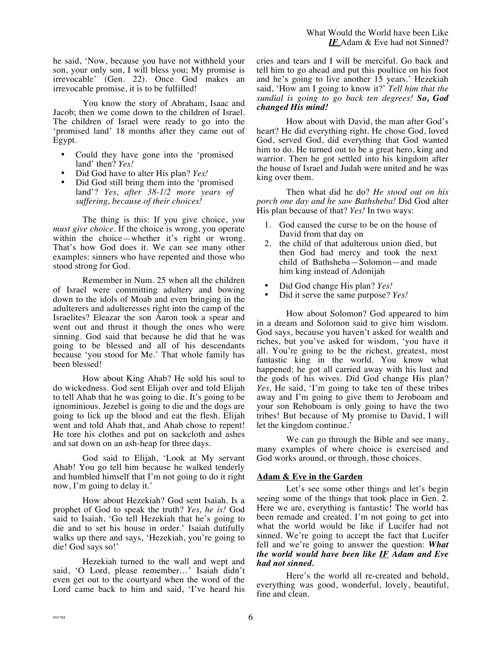he said, 'Now, because you have not withheld your son, your only son, I will bless you; My promise is irrevocable' (Gen. 22). Once God makes an irrevocable promise, it is to be fulfilled!

You know the story of Abraham, Isaac and Jacob; then we come down to the children of Israel. The children of Israel were ready to go into the 'promised land' 18 months after they came out of Egypt.

- Could they have gone into the 'promised land' then? *Yes!*
- Did God have to alter His plan? *Yes!*
- Did God still bring them into the 'promised land'? *Yes, after 38-1/2 more years of suffering, because of their choices!*

The thing is this: If you give choice, *you must give choice.* If the choice is wrong, you operate within the choice—whether it's right or wrong. That's how God does it. We can see many other examples: sinners who have repented and those who stood strong for God.

Remember in Num. 25 when all the children of Israel were committing adultery and bowing down to the idols of Moab and even bringing in the adulterers and adulteresses right into the camp of the Israelites? Eleazar the son Aaron took a spear and went out and thrust it though the ones who were sinning. God said that because he did that he was going to be blessed and all of his descendants because 'you stood for Me.' That whole family has been blessed!

How about King Ahab? He sold his soul to do wickedness. God sent Elijah over and told Elijah to tell Ahab that he was going to die. It's going to be ignominious. Jezebel is going to die and the dogs are going to lick up the blood and eat the flesh. Elijah went and told Ahab that, and Ahab chose to repent! He tore his clothes and put on sackcloth and ashes and sat down on an ash-heap for three days.

God said to Elijah, 'Look at My servant Ahab! You go tell him because he walked tenderly and humbled himself that I'm not going to do it right now, I'm going to delay it.'

How about Hezekiah? God sent Isaiah. Is a prophet of God to speak the truth? *Yes, he is!* God said to Isaiah, 'Go tell Hezekiah that he's going to die and to set his house in order.' Isaiah dutifully walks up there and says, 'Hezekiah, you're going to die! God says so!'

Hezekiah turned to the wall and wept and said, 'O Lord, please remember…' Isaiah didn't even get out to the courtyard when the word of the Lord came back to him and said, 'I've heard his cries and tears and I will be merciful. Go back and tell him to go ahead and put this poultice on his foot and he's going to live another 15 years.' Hezekiah said, 'How am I going to know it?' *Tell him that the sundial is going to go back ten degrees! So, God changed His mind!*

How about with David, the man after God's heart? He did everything right. He chose God, loved God, served God, did everything that God wanted him to do. He turned out to be a great hero, king and warrior. Then he got settled into his kingdom after the house of Israel and Judah were united and he was king over them.

Then what did he do? *He stood out on his porch one day and he saw Bathsheba!* Did God alter His plan because of that? *Yes!* In two ways:

- 1. God caused the curse to be on the house of David from that day on
- 2. the child of that adulterous union died, but then God had mercy and took the next child of Bathsheba—Solomon—and made him king instead of Adonijah
- Did God change His plan? *Yes!*
- Did it serve the same purpose? *Yes!*

How about Solomon? God appeared to him in a dream and Solomon said to give him wisdom. God says, because you haven't asked for wealth and riches, but you've asked for wisdom, 'you have it all. You're going to be the richest, greatest, most fantastic king in the world. You know what happened; he got all carried away with his lust and the gods of his wives. Did God change His plan? *Yes,* He said, 'I'm going to take ten of these tribes away and I'm going to give them to Jeroboam and your son Rehoboam is only going to have the two tribes! But because of My promise to David, I will let the kingdom continue.'

We can go through the Bible and see many, many examples of where choice is exercised and God works around, or through, those choices.

# **Adam & Eve in the Garden**

Let's see some other things and let's begin seeing some of the things that took place in Gen. 2. Here we are, everything is fantastic! The world has been remade and created. I'm not going to get into what the world would be like if Lucifer had not sinned. We're going to accept the fact that Lucifer fell and we're going to answer the question: *What the world would have been like IF Adam and Eve had not sinned.*

Here's the world all re-created and behold, everything was good, wonderful, lovely, beautiful, fine and clean.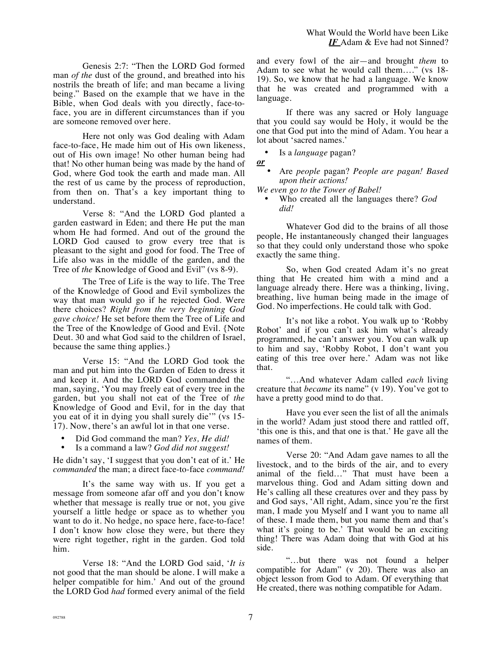Genesis 2:7: "Then the LORD God formed man *of the* dust of the ground, and breathed into his nostrils the breath of life; and man became a living being." Based on the example that we have in the Bible, when God deals with you directly, face-toface, you are in different circumstances than if you are someone removed over here.

Here not only was God dealing with Adam face-to-face, He made him out of His own likeness, out of His own image! No other human being had that! No other human being was made by the hand of God, where God took the earth and made man. All the rest of us came by the process of reproduction, from then on. That's a key important thing to understand.

Verse 8: "And the LORD God planted a garden eastward in Eden; and there He put the man whom He had formed. And out of the ground the LORD God caused to grow every tree that is pleasant to the sight and good for food. The Tree of Life also was in the middle of the garden, and the Tree of *the* Knowledge of Good and Evil" (vs 8-9).

The Tree of Life is the way to life. The Tree of the Knowledge of Good and Evil symbolizes the way that man would go if he rejected God. Were there choices? *Right from the very beginning God gave choice!* He set before them the Tree of Life and the Tree of the Knowledge of Good and Evil. {Note Deut. 30 and what God said to the children of Israel, because the same thing applies.}

Verse 15: "And the LORD God took the man and put him into the Garden of Eden to dress it and keep it. And the LORD God commanded the man, saying, 'You may freely eat of every tree in the garden, but you shall not eat of the Tree of *the* Knowledge of Good and Evil, for in the day that you eat of it in dying you shall surely die'" (vs 15- 17). Now, there's an awful lot in that one verse.

- Did God command the man? *Yes, He did!*
- Is a command a law? *God did not suggest!*

He didn't say, 'I suggest that you don't eat of it.' He *commanded* the man; a direct face-to-face *command!*

It's the same way with us. If you get a message from someone afar off and you don't know whether that message is really true or not, you give yourself a little hedge or space as to whether you want to do it. No hedge, no space here, face-to-face! I don't know how close they were, but there they were right together, right in the garden. God told him.

Verse 18: "And the LORD God said, '*It is* not good that the man should be alone. I will make a helper compatible for him.' And out of the ground the LORD God *had* formed every animal of the field and every fowl of the air—and brought *them* to Adam to see what he would call them…." (vs 18- 19). So, we know that he had a language. We know that he was created and programmed with a language.

If there was any sacred or Holy language that you could say would be Holy, it would be the one that God put into the mind of Adam. You hear a lot about 'sacred names.'

• Is a *language* pagan?

*or* • Are *people* pagan? *People are pagan! Based upon their actions!*

*We even go to the Tower of Babel!* 

• Who created all the languages there? *God did!*

Whatever God did to the brains of all those people, He instantaneously changed their languages so that they could only understand those who spoke exactly the same thing.

So, when God created Adam it's no great thing that He created him with a mind and a language already there. Here was a thinking, living, breathing, live human being made in the image of God. No imperfections. He could talk with God.

It's not like a robot. You walk up to 'Robby Robot' and if you can't ask him what's already programmed, he can't answer you. You can walk up to him and say, 'Robby Robot, I don't want you eating of this tree over here.' Adam was not like that.

"…And whatever Adam called *each* living creature that *became* its name" (v 19). You've got to have a pretty good mind to do that.

Have you ever seen the list of all the animals in the world? Adam just stood there and rattled off, 'this one is this, and that one is that.' He gave all the names of them.

Verse 20: "And Adam gave names to all the livestock, and to the birds of the air, and to every animal of the field…" That must have been a marvelous thing. God and Adam sitting down and He's calling all these creatures over and they pass by and God says, 'All right, Adam, since you're the first man, I made you Myself and I want you to name all of these. I made them, but you name them and that's what it's going to be.' That would be an exciting thing! There was Adam doing that with God at his side.

"…but there was not found a helper compatible for Adam" (v 20). There was also an object lesson from God to Adam. Of everything that He created, there was nothing compatible for Adam.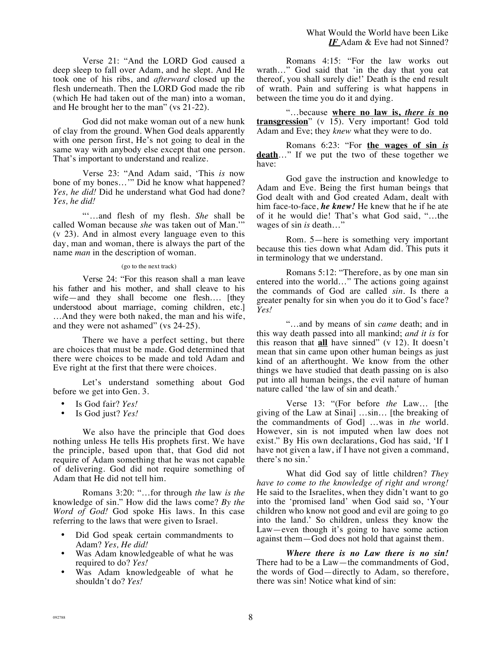Verse 21: "And the LORD God caused a deep sleep to fall over Adam, and he slept. And He took one of his ribs, and *afterward* closed up the flesh underneath. Then the LORD God made the rib (which He had taken out of the man) into a woman, and He brought her to the man" (vs 21-22).

God did not make woman out of a new hunk of clay from the ground. When God deals apparently with one person first, He's not going to deal in the same way with anybody else except that one person. That's important to understand and realize.

Verse 23: "And Adam said, 'This *is* now bone of my bones…'" Did he know what happened? *Yes, he did!* Did he understand what God had done? *Yes, he did!*

"'…and flesh of my flesh. *She* shall be called Woman because *she* was taken out of Man.'" (v 23). And in almost every language even to this day, man and woman, there is always the part of the name *man* in the description of woman.

#### (go to the next track)

Verse 24: "For this reason shall a man leave his father and his mother, and shall cleave to his wife—and they shall become one flesh…. [they understood about marriage, coming children, etc.] …And they were both naked, the man and his wife, and they were not ashamed" (vs 24-25).

There we have a perfect setting, but there are choices that must be made. God determined that there were choices to be made and told Adam and Eve right at the first that there were choices.

Let's understand something about God before we get into Gen. 3.

- Is God fair? *Yes!*
- Is God just? *Yes!*

We also have the principle that God does nothing unless He tells His prophets first. We have the principle, based upon that, that God did not require of Adam something that he was not capable of delivering. God did not require something of Adam that He did not tell him.

Romans 3:20: "…for through *the* law *is the* knowledge of sin." How did the laws come? *By the Word of God!* God spoke His laws. In this case referring to the laws that were given to Israel.

- Did God speak certain commandments to Adam? *Yes, He did!*
- Was Adam knowledgeable of what he was required to do? *Yes!*
- Was Adam knowledgeable of what he shouldn't do? *Yes!*

Romans 4:15: "For the law works out wrath…" God said that 'in the day that you eat thereof, you shall surely die!' Death is the end result of wrath. Pain and suffering is what happens in between the time you do it and dying.

"…because **where no law is,** *there is* **no transgression**" (v 15). Very important! God told Adam and Eve; they *knew* what they were to do.

Romans 6:23: "For **the wages of sin** *is* **death**…" If we put the two of these together we have:

God gave the instruction and knowledge to Adam and Eve. Being the first human beings that God dealt with and God created Adam, dealt with him face-to-face, *he knew!* He knew that he if he ate of it he would die! That's what God said, "…the wages of sin *is* death…"

Rom. 5—here is something very important because this ties down what Adam did. This puts it in terminology that we understand.

Romans 5:12: "Therefore, as by one man sin entered into the world…" The actions going against the commands of God are called *sin*. Is there a greater penalty for sin when you do it to God's face? *Yes!*

"…and by means of sin *came* death; and in this way death passed into all mankind; *and it is* for this reason that **all** have sinned" (v 12). It doesn't mean that sin came upon other human beings as just kind of an afterthought. We know from the other things we have studied that death passing on is also put into all human beings, the evil nature of human nature called 'the law of sin and death.'

Verse 13: "(For before *the* Law… [the giving of the Law at Sinai] …sin… [the breaking of the commandments of God] …was in *the* world. However, sin is not imputed when law does not exist." By His own declarations, God has said, 'If I have not given a law, if I have not given a command, there's no sin.'

What did God say of little children? *They have to come to the knowledge of right and wrong!* He said to the Israelites, when they didn't want to go into the 'promised land' when God said so, 'Your children who know not good and evil are going to go into the land.' So children, unless they know the Law—even though it's going to have some action against them—God does not hold that against them.

*Where there is no Law there is no sin!* There had to be a Law—the commandments of God, the words of God—directly to Adam, so therefore, there was sin! Notice what kind of sin: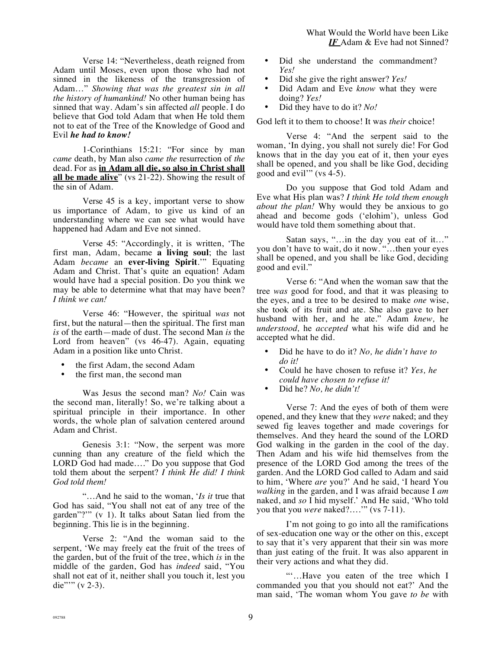Verse 14: "Nevertheless, death reigned from Adam until Moses, even upon those who had not sinned in the likeness of the transgression of Adam…" *Showing that was the greatest sin in all the history of humankind!* No other human being has sinned that way. Adam's sin affected *all* people. I do believe that God told Adam that when He told them not to eat of the Tree of the Knowledge of Good and Evil *he had to know!*

1-Corinthians 15:21: "For since by man *came* death, by Man also *came the* resurrection of *the* dead. For as **in Adam all die, so also in Christ shall all be made alive**" (vs 21-22). Showing the result of the sin of Adam.

Verse 45 is a key, important verse to show us importance of Adam, to give us kind of an understanding where we can see what would have happened had Adam and Eve not sinned.

Verse 45: "Accordingly, it is written, 'The first man, Adam, became **a living soul**; the last Adam *became* an **ever-living Spirit**.'" Equating Adam and Christ. That's quite an equation! Adam would have had a special position. Do you think we may be able to determine what that may have been? *I think we can!*

Verse 46: "However, the spiritual *was* not first, but the natural—then the spiritual. The first man *is* of the earth—made of dust. The second Man *is* the Lord from heaven" (vs 46-47). Again, equating Adam in a position like unto Christ.

- the first Adam, the second Adam
- the first man, the second man

Was Jesus the second man? *No!* Cain was the second man, literally! So, we're talking about a spiritual principle in their importance. In other words, the whole plan of salvation centered around Adam and Christ.

Genesis 3:1: "Now, the serpent was more cunning than any creature of the field which the LORD God had made…." Do you suppose that God told them about the serpent? *I think He did! I think God told them!*

"…And he said to the woman, '*Is it* true that God has said, "You shall not eat of any tree of the garden"?'" (v 1). It talks about Satan lied from the beginning. This lie is in the beginning.

Verse 2: "And the woman said to the serpent, 'We may freely eat the fruit of the trees of the garden, but of the fruit of the tree, which *is* in the middle of the garden, God has *indeed* said, "You shall not eat of it, neither shall you touch it, lest you die""  $(v 2-3)$ .

- Did she understand the commandment? *Yes!*
- Did she give the right answer? *Yes!*
- Did Adam and Eve *know* what they were doing? *Yes!*
- Did they have to do it? *No!*

God left it to them to choose! It was *their* choice!

Verse 4: "And the serpent said to the woman, 'In dying, you shall not surely die! For God knows that in the day you eat of it, then your eyes shall be opened, and you shall be like God, deciding good and evil'" (vs 4-5).

Do you suppose that God told Adam and Eve what His plan was? *I think He told them enough about the plan!* Why would they be anxious to go ahead and become gods ('elohim'), unless God would have told them something about that.

Satan says, "…in the day you eat of it…" you don't have to wait, do it now. "…then your eyes shall be opened, and you shall be like God, deciding good and evil."

Verse 6: "And when the woman saw that the tree *was* good for food, and that it was pleasing to the eyes, and a tree to be desired to make *one* wise, she took of its fruit and ate. She also gave to her husband with her, and he ate." Adam *knew,* he *understood,* he *accepted* what his wife did and he accepted what he did.

- Did he have to do it? *No, he didn't have to do it!*
- Could he have chosen to refuse it? *Yes, he could have chosen to refuse it!*
- Did he? *No, he didn't!*

Verse 7: And the eyes of both of them were opened, and they knew that they *were* naked; and they sewed fig leaves together and made coverings for themselves. And they heard the sound of the LORD God walking in the garden in the cool of the day. Then Adam and his wife hid themselves from the presence of the LORD God among the trees of the garden. And the LORD God called to Adam and said to him, 'Where *are* you?' And he said, 'I heard You *walking* in the garden, and I was afraid because I *am* naked, and *so* I hid myself.' And He said, 'Who told you that you *were* naked?….'" (vs 7-11).

I'm not going to go into all the ramifications of sex-education one way or the other on this, except to say that it's very apparent that their sin was more than just eating of the fruit. It was also apparent in their very actions and what they did.

"'…Have you eaten of the tree which I commanded you that you should not eat?' And the man said, 'The woman whom You gave *to be* with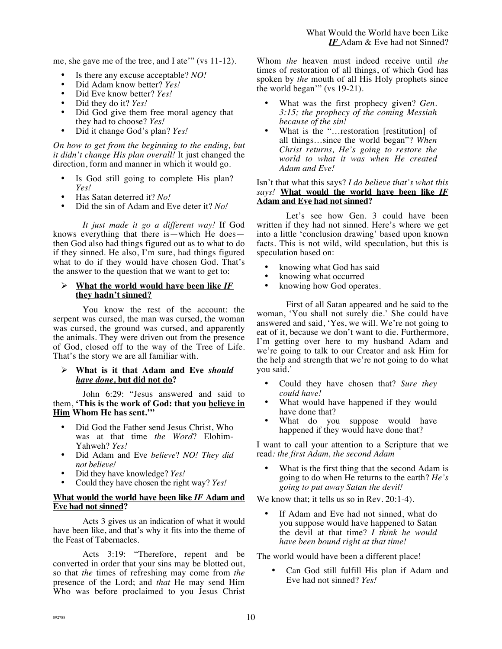me, she gave me of the tree, and I ate'" (vs 11-12).

- Is there any excuse acceptable? *NO!*
- Did Adam know better? *Yes!*
- Did Eve know better? *Yes!*
- Did they do it? *Yes!*
- Did God give them free moral agency that they had to choose? *Yes!*
- Did it change God's plan? *Yes!*

*On how to get from the beginning to the ending, but it didn't change His plan overall!* It just changed the direction, form and manner in which it would go.

- Is God still going to complete His plan? *Yes!*
- Has Satan deterred it? *No!*
- Did the sin of Adam and Eve deter it? *No!*

*It just made it go a different way!* If God knows everything that there is—which He does then God also had things figured out as to what to do if they sinned. He also, I'm sure, had things figured what to do if they would have chosen God. That's the answer to the question that we want to get to:

## ! **What the world would have been like** *IF* **they hadn't sinned?**

You know the rest of the account: the serpent was cursed, the man was cursed, the woman was cursed, the ground was cursed, and apparently the animals. They were driven out from the presence of God, closed off to the way of the Tree of Life. That's the story we are all familiar with.

## ! **What is it that Adam and Eve** *should have done,* **but did not do?**

John 6:29: "Jesus answered and said to them, **'This is the work of God: that you believe in Him Whom He has sent.'"** 

- Did God the Father send Jesus Christ, Who was at that time *the Word*? Elohim-Yahweh? *Yes!*
- Did Adam and Eve *believe*? *NO! They did not believe!*
- Did they have knowledge? *Yes!*
- Could they have chosen the right way? *Yes!*

#### **What would the world have been like** *IF* **Adam and Eve had not sinned?**

Acts 3 gives us an indication of what it would have been like, and that's why it fits into the theme of the Feast of Tabernacles.

Acts 3:19: "Therefore, repent and be converted in order that your sins may be blotted out, so that *the* times of refreshing may come from *the* presence of the Lord; and *that* He may send Him Who was before proclaimed to you Jesus Christ Whom *the* heaven must indeed receive until *the* times of restoration of all things, of which God has spoken by *the* mouth of all His Holy prophets since the world began'" (vs 19-21).

- What was the first prophecy given? *Gen. 3:15; the prophecy of the coming Messiah because of the sin!*
- What is the "...restoration [restitution] of all things…since the world began"? *When Christ returns, He's going to restore the world to what it was when He created Adam and Eve!*

## Isn't that what this says? *I do believe that's what this says!* **What would the world have been like** *IF* **Adam and Eve had not sinned?**

Let's see how Gen. 3 could have been written if they had not sinned. Here's where we get into a little 'conclusion drawing' based upon known facts. This is not wild, wild speculation, but this is speculation based on:

- knowing what God has said
- knowing what occurred
- knowing how God operates.

First of all Satan appeared and he said to the woman, 'You shall not surely die.' She could have answered and said, 'Yes, we will. We're not going to eat of it, because we don't want to die. Furthermore, I'm getting over here to my husband Adam and we're going to talk to our Creator and ask Him for the help and strength that we're not going to do what you said.'

- Could they have chosen that? *Sure they could have!*
- What would have happened if they would have done that?
- What do you suppose would have happened if they would have done that?

I want to call your attention to a Scripture that we read*: the first Adam, the second Adam*

What is the first thing that the second Adam is going to do when He returns to the earth? *He's going to put away Satan the devil!*

We know that; it tells us so in Rev. 20:1-4).

If Adam and Eve had not sinned, what do you suppose would have happened to Satan the devil at that time? *I think he would have been bound right at that time!*

The world would have been a different place!

• Can God still fulfill His plan if Adam and Eve had not sinned? *Yes!*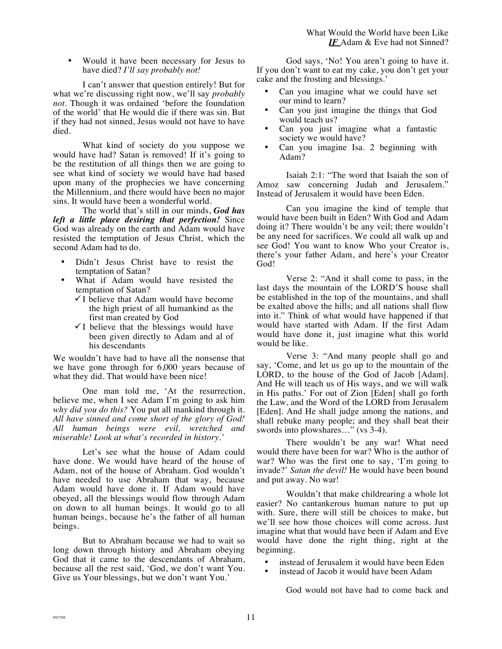• Would it have been necessary for Jesus to have died? *I'll say probably not!*

I can't answer that question entirely! But for what we're discussing right now, we'll say *probably not.* Though it was ordained 'before the foundation of the world' that He would die if there was sin. But if they had not sinned, Jesus would not have to have died.

What kind of society do you suppose we would have had? Satan is removed! If it's going to be the restitution of all things then we are going to see what kind of society we would have had based upon many of the prophecies we have concerning the Millennium, and there would have been no major sins. It would have been a wonderful world.

The world that's still in our minds, *God has left a little place desiring that perfection!* Since God was already on the earth and Adam would have resisted the temptation of Jesus Christ, which the second Adam had to do.

- Didn't Jesus Christ have to resist the temptation of Satan?
- What if Adam would have resisted the temptation of Satan?
	- $\checkmark$  I believe that Adam would have become the high priest of all humankind as the first man created by God
	- $\checkmark$  I believe that the blessings would have been given directly to Adam and al of his descendants

We wouldn't have had to have all the nonsense that we have gone through for 6,000 years because of what they did. That would have been nice!

One man told me, 'At the resurrection, believe me, when I see Adam I'm going to ask him *why did you do this?* You put all mankind through it. *All have sinned and come short of the glory of God! All human beings were evil, wretched and miserable! Look at what's recorded in history.'*

Let's see what the house of Adam could have done. We would have heard of the house of Adam, not of the house of Abraham. God wouldn't have needed to use Abraham that way, because Adam would have done it. If Adam would have obeyed, all the blessings would flow through Adam on down to all human beings. It would go to all human beings, because he's the father of all human beings.

But to Abraham because we had to wait so long down through history and Abraham obeying God that it came to the descendants of Abraham, because all the rest said, 'God, we don't want You. Give us Your blessings, but we don't want You.'

God says, 'No! You aren't going to have it. If you don't want to eat my cake, you don't get your cake and the frosting and blessings.'

- Can you imagine what we could have set our mind to learn?
- Can you just imagine the things that God would teach us?
- Can you just imagine what a fantastic society we would have?
- Can you imagine Isa. 2 beginning with Adam?

Isaiah 2:1: "The word that Isaiah the son of Amoz saw concerning Judah and Jerusalem." Instead of Jerusalem it would have been Eden.

Can you imagine the kind of temple that would have been built in Eden? With God and Adam doing it? There wouldn't be any veil; there wouldn't be any need for sacrifices. We could all walk up and see God! You want to know Who your Creator is, there's your father Adam, and here's your Creator God!

Verse 2: "And it shall come to pass, in the last days the mountain of the LORD'S house shall be established in the top of the mountains, and shall be exalted above the hills; and all nations shall flow into it." Think of what would have happened if that would have started with Adam. If the first Adam would have done it, just imagine what this world would be like.

Verse 3: "And many people shall go and say, 'Come, and let us go up to the mountain of the LORD, to the house of the God of Jacob [Adam]. And He will teach us of His ways, and we will walk in His paths.' For out of Zion [Eden] shall go forth the Law, and the Word of the LORD from Jerusalem [Eden]. And He shall judge among the nations, and shall rebuke many people; and they shall beat their swords into plowshares…" (vs 3-4).

There wouldn't be any war! What need would there have been for war? Who is the author of war? Who was the first one to say, 'I'm going to invade?' *Satan the devil!* He would have been bound and put away. No war!

Wouldn't that make childrearing a whole lot easier? No cantankerous human nature to put up with. Sure, there will still be choices to make, but we'll see how those choices will come across. Just imagine what that would have been if Adam and Eve would have done the right thing, right at the beginning.

- instead of Jerusalem it would have been Eden
- instead of Jacob it would have been Adam

God would not have had to come back and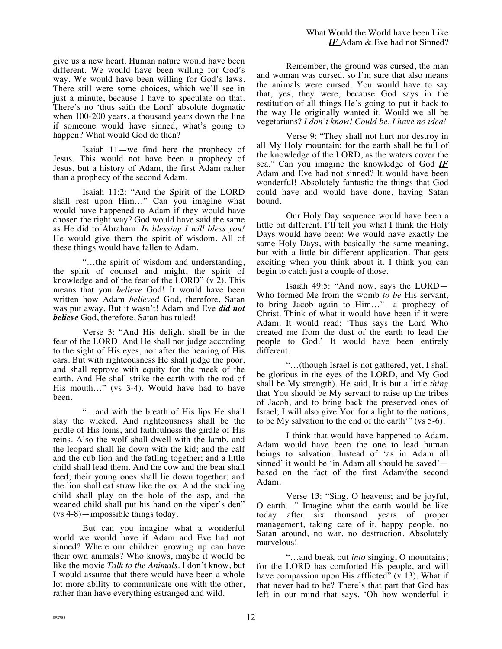give us a new heart. Human nature would have been different. We would have been willing for God's way. We would have been willing for God's laws. There still were some choices, which we'll see in just a minute, because I have to speculate on that. There's no 'thus saith the Lord' absolute dogmatic when 100-200 years, a thousand years down the line if someone would have sinned, what's going to happen? What would God do then?

Isaiah 11—we find here the prophecy of Jesus. This would not have been a prophecy of Jesus, but a history of Adam, the first Adam rather than a prophecy of the second Adam.

Isaiah 11:2: "And the Spirit of the LORD shall rest upon Him…" Can you imagine what would have happened to Adam if they would have chosen the right way? God would have said the same as He did to Abraham: *In blessing I will bless you!* He would give them the spirit of wisdom. All of these things would have fallen to Adam.

"…the spirit of wisdom and understanding, the spirit of counsel and might, the spirit of knowledge and of the fear of the LORD" (v 2). This means that you *believe* God! It would have been written how Adam *believed* God, therefore, Satan was put away. But it wasn't! Adam and Eve *did not believe* God, therefore, Satan has ruled!

Verse 3: "And His delight shall be in the fear of the LORD. And He shall not judge according to the sight of His eyes, nor after the hearing of His ears. But with righteousness He shall judge the poor, and shall reprove with equity for the meek of the earth. And He shall strike the earth with the rod of His mouth…" (vs 3-4). Would have had to have been.

"…and with the breath of His lips He shall slay the wicked. And righteousness shall be the girdle of His loins, and faithfulness the girdle of His reins. Also the wolf shall dwell with the lamb, and the leopard shall lie down with the kid; and the calf and the cub lion and the fatling together; and a little child shall lead them. And the cow and the bear shall feed; their young ones shall lie down together; and the lion shall eat straw like the ox. And the suckling child shall play on the hole of the asp, and the weaned child shall put his hand on the viper's den" (vs 4-8)—impossible things today.

But can you imagine what a wonderful world we would have if Adam and Eve had not sinned? Where our children growing up can have their own animals? Who knows, maybe it would be like the movie *Talk to the Animals.* I don't know, but I would assume that there would have been a whole lot more ability to communicate one with the other, rather than have everything estranged and wild.

Remember, the ground was cursed, the man and woman was cursed, so I'm sure that also means the animals were cursed. You would have to say that, yes, they were, because God says in the restitution of all things He's going to put it back to the way He originally wanted it. Would we all be vegetarians? *I don't know! Could be, I have no idea!*

Verse 9: "They shall not hurt nor destroy in all My Holy mountain; for the earth shall be full of the knowledge of the LORD, as the waters cover the sea." Can you imagine the knowledge of God *IF* Adam and Eve had not sinned? It would have been wonderful! Absolutely fantastic the things that God could have and would have done, having Satan bound.

Our Holy Day sequence would have been a little bit different. I'll tell you what I think the Holy Days would have been: We would have exactly the same Holy Days, with basically the same meaning, but with a little bit different application. That gets exciting when you think about it. I think you can begin to catch just a couple of those.

Isaiah 49:5: "And now, says the LORD— Who formed Me from the womb *to be* His servant, to bring Jacob again to Him…"—a prophecy of Christ. Think of what it would have been if it were Adam. It would read: 'Thus says the Lord Who created me from the dust of the earth to lead the people to God.' It would have been entirely different.

"…(though Israel is not gathered, yet, I shall be glorious in the eyes of the LORD, and My God shall be My strength). He said, It is but a little *thing* that You should be My servant to raise up the tribes of Jacob, and to bring back the preserved ones of Israel; I will also give You for a light to the nations, to be My salvation to the end of the earth'" (vs 5-6).

I think that would have happened to Adam. Adam would have been the one to lead human beings to salvation. Instead of 'as in Adam all sinned' it would be 'in Adam all should be saved' based on the fact of the first Adam/the second Adam.

Verse 13: "Sing, O heavens; and be joyful, O earth…" Imagine what the earth would be like today after six thousand years of proper management, taking care of it, happy people, no Satan around, no war, no destruction. Absolutely marvelous!

"…and break out *into* singing, O mountains; for the LORD has comforted His people, and will have compassion upon His afflicted" (v 13). What if that never had to be? There's that part that God has left in our mind that says, 'Oh how wonderful it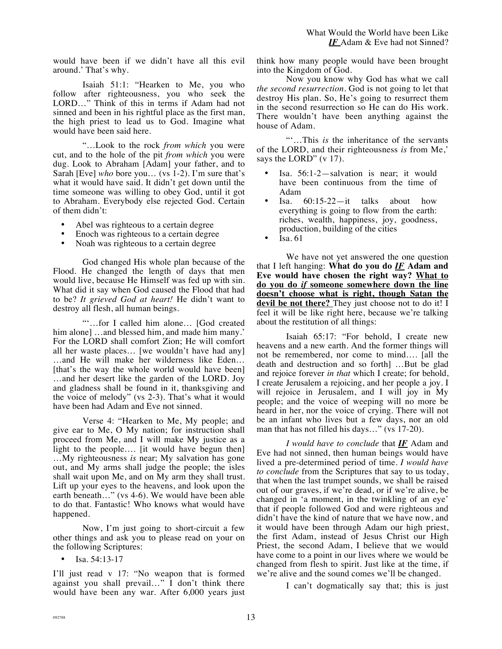would have been if we didn't have all this evil around.' That's why.

Isaiah 51:1: "Hearken to Me, you who follow after righteousness, you who seek the LORD…" Think of this in terms if Adam had not sinned and been in his rightful place as the first man, the high priest to lead us to God. Imagine what would have been said here.

"…Look to the rock *from which* you were cut, and to the hole of the pit *from which* you were dug. Look to Abraham [Adam] your father, and to Sarah [Eve] *who* bore you… (vs 1-2). I'm sure that's what it would have said. It didn't get down until the time someone was willing to obey God, until it got to Abraham. Everybody else rejected God. Certain of them didn't:

- Abel was righteous to a certain degree
- Enoch was righteous to a certain degree
- Noah was righteous to a certain degree

God changed His whole plan because of the Flood. He changed the length of days that men would live, because He Himself was fed up with sin. What did it say when God caused the Flood that had to be? *It grieved God at heart!* He didn't want to destroy all flesh, all human beings.

"'…for I called him alone… [God created him alone] …and blessed him, and made him many.' For the LORD shall comfort Zion; He will comfort all her waste places… [we wouldn't have had any] …and He will make her wilderness like Eden… [that's the way the whole world would have been] …and her desert like the garden of the LORD. Joy and gladness shall be found in it, thanksgiving and the voice of melody" (vs 2-3). That's what it would have been had Adam and Eve not sinned.

Verse 4: "Hearken to Me, My people; and give ear to Me, O My nation; for instruction shall proceed from Me, and I will make My justice as a light to the people…. [it would have begun then] …My righteousness *is* near; My salvation has gone out, and My arms shall judge the people; the isles shall wait upon Me, and on My arm they shall trust. Lift up your eyes to the heavens, and look upon the earth beneath…" (vs 4-6). We would have been able to do that. Fantastic! Who knows what would have happened.

Now, I'm just going to short-circuit a few other things and ask you to please read on your on the following Scriptures:

• Isa. 54:13-17

I'll just read v 17: "No weapon that is formed against you shall prevail..." I don't think there would have been any war. After 6,000 years just think how many people would have been brought into the Kingdom of God.

Now you know why God has what we call *the second resurrection.* God is not going to let that destroy His plan. So, He's going to resurrect them in the second resurrection so He can do His work. There wouldn't have been anything against the house of Adam.

"'…This *is* the inheritance of the servants of the LORD, and their righteousness *is* from Me,' says the LORD" (v 17).

- Isa. 56:1-2—salvation is near; it would have been continuous from the time of Adam
- Isa.  $60:15-22$ —it talks about how everything is going to flow from the earth: riches, wealth, happiness, joy, goodness, production, building of the cities
- $\cdot$  Isa, 61

We have not yet answered the one question that I left hanging: **What do you do** *IF* **Adam and Eve would have chosen the right way? What to do you do** *if* **someone somewhere down the line doesn't choose what is right, though Satan the devil be not there?** They just choose not to do it! I feel it will be like right here, because we're talking about the restitution of all things:

Isaiah 65:17: "For behold, I create new heavens and a new earth. And the former things will not be remembered, nor come to mind…. [all the death and destruction and so forth] …But be glad and rejoice forever *in that* which I create; for behold, I create Jerusalem a rejoicing, and her people a joy. I will rejoice in Jerusalem, and I will joy in My people; and the voice of weeping will no more be heard in her, nor the voice of crying. There will not be an infant who lives but a few days, nor an old man that has not filled his days..." (vs 17-20).

*I would have to conclude* that *IF* Adam and Eve had not sinned, then human beings would have lived a pre-determined period of time*. I would have to conclude* from the Scriptures that say to us today, that when the last trumpet sounds, we shall be raised out of our graves, if we're dead, or if we're alive, be changed in 'a moment, in the twinkling of an eye' that if people followed God and were righteous and didn't have the kind of nature that we have now, and it would have been through Adam our high priest, the first Adam, instead of Jesus Christ our High Priest, the second Adam, I believe that we would have come to a point in our lives where we would be changed from flesh to spirit. Just like at the time, if we're alive and the sound comes we'll be changed.

I can't dogmatically say that; this is just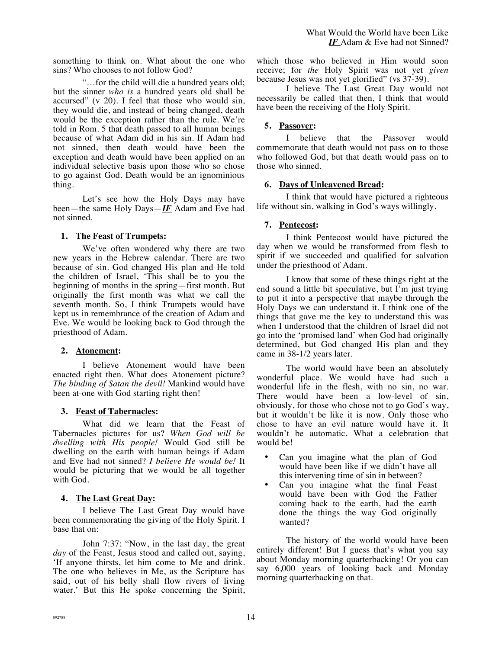something to think on. What about the one who sins? Who chooses to not follow God?

"…for the child will die a hundred years old; but the sinner *who is* a hundred years old shall be accursed" (v 20). I feel that those who would sin, they would die, and instead of being changed, death would be the exception rather than the rule. We're told in Rom. 5 that death passed to all human beings because of what Adam did in his sin. If Adam had not sinned, then death would have been the exception and death would have been applied on an individual selective basis upon those who so chose to go against God. Death would be an ignominious thing.

Let's see how the Holy Days may have been—the same Holy Days—*IF* Adam and Eve had not sinned.

## **1. The Feast of Trumpets:**

We've often wondered why there are two new years in the Hebrew calendar. There are two because of sin. God changed His plan and He told the children of Israel, 'This shall be to you the beginning of months in the spring—first month. But originally the first month was what we call the seventh month. So, I think Trumpets would have kept us in remembrance of the creation of Adam and Eve. We would be looking back to God through the priesthood of Adam.

## **2. Atonement:**

I believe Atonement would have been enacted right then. What does Atonement picture? *The binding of Satan the devil!* Mankind would have been at-one with God starting right then!

# **3. Feast of Tabernacles:**

What did we learn that the Feast of Tabernacles pictures for us? *When God will be dwelling with His people!* Would God still be dwelling on the earth with human beings if Adam and Eve had not sinned? *I believe He would be!* It would be picturing that we would be all together with God.

# **4. The Last Great Day:**

I believe The Last Great Day would have been commemorating the giving of the Holy Spirit. I base that on:

John 7:37: "Now, in the last day, the great *day* of the Feast, Jesus stood and called out, saying, 'If anyone thirsts, let him come to Me and drink. The one who believes in Me, as the Scripture has said, out of his belly shall flow rivers of living water.' But this He spoke concerning the Spirit, which those who believed in Him would soon receive; for *the* Holy Spirit was not yet *given*  because Jesus was not yet glorified" (vs 37-39).

I believe The Last Great Day would not necessarily be called that then, I think that would have been the receiving of the Holy Spirit.

# **5. Passover:**

I believe that the Passover would commemorate that death would not pass on to those who followed God, but that death would pass on to those who sinned.

## **6. Days of Unleavened Bread:**

I think that would have pictured a righteous life without sin, walking in God's ways willingly.

# **7. Pentecost:**

I think Pentecost would have pictured the day when we would be transformed from flesh to spirit if we succeeded and qualified for salvation under the priesthood of Adam.

I know that some of these things right at the end sound a little bit speculative, but I'm just trying to put it into a perspective that maybe through the Holy Days we can understand it. I think one of the things that gave me the key to understand this was when I understood that the children of Israel did not go into the 'promised land' when God had originally determined, but God changed His plan and they came in 38-1/2 years later.

The world would have been an absolutely wonderful place. We would have had such a wonderful life in the flesh, with no sin, no war. There would have been a low-level of sin, obviously, for those who chose not to go God's way, but it wouldn't be like it is now. Only those who chose to have an evil nature would have it. It wouldn't be automatic. What a celebration that would be!

- Can you imagine what the plan of God would have been like if we didn't have all this intervening time of sin in between?
- Can you imagine what the final Feast would have been with God the Father coming back to the earth, had the earth done the things the way God originally wanted?

The history of the world would have been entirely different! But I guess that's what you say about Monday morning quarterbacking! Or you can say 6,000 years of looking back and Monday morning quarterbacking on that.